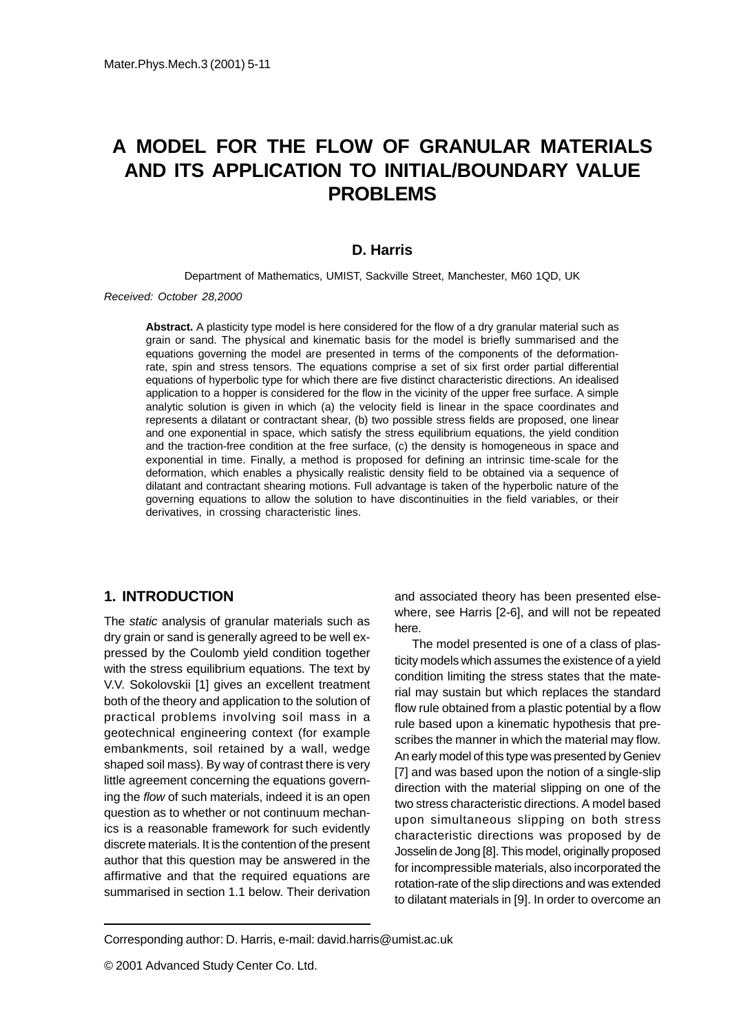# **A MODEL FOR THE FLOW OF GRANULAR MATERIALS AND ITS APPLICATION TO INITIAL/BOUNDARY VALUE PROBLEMS**

### **D. Harris**

Department of Mathematics, UMIST, Sackville Street, Manchester, M60 1QD, UK

Received: October 28,2000

**Abstract.** A plasticity type model is here considered for the flow of a dry granular material such as grain or sand. The physical and kinematic basis for the model is briefly summarised and the equations governing the model are presented in terms of the components of the deformationrate, spin and stress tensors. The equations comprise a set of six first order partial differential equations of hyperbolic type for which there are five distinct characteristic directions. An idealised application to a hopper is considered for the flow in the vicinity of the upper free surface. A simple analytic solution is given in which (a) the velocity field is linear in the space coordinates and represents a dilatant or contractant shear, (b) two possible stress fields are proposed, one linear and one exponential in space, which satisfy the stress equilibrium equations, the yield condition and the traction-free condition at the free surface, (c) the density is homogeneous in space and exponential in time. Finally, a method is proposed for defining an intrinsic time-scale for the deformation, which enables a physically realistic density field to be obtained via a sequence of dilatant and contractant shearing motions. Full advantage is taken of the hyperbolic nature of the governing equations to allow the solution to have discontinuities in the field variables, or their derivatives, in crossing characteristic lines.

### **1. INTRODUCTION**

The *static* analysis of granular materials such as dry grain or sand is generally agreed to be well expressed by the Coulomb yield condition together with the stress equilibrium equations. The text by V.V. Sokolovskii [1] gives an excellent treatment both of the theory and application to the solution of practical problems involving soil mass in a geotechnical engineering context (for example embankments, soil retained by a wall, wedge shaped soil mass). By way of contrast there is very little agreement concerning the equations governing the flow of such materials, indeed it is an open question as to whether or not continuum mechanics is a reasonable framework for such evidently discrete materials. It is the contention of the present author that this question may be answered in the affirmative and that the required equations are summarised in section 1.1 below. Their derivation

and associated theory has been presented elsewhere, see Harris [2-6], and will not be repeated here.

The model presented is one of a class of plasticity models which assumes the existence of a yield condition limiting the stress states that the material may sustain but which replaces the standard flow rule obtained from a plastic potential by a flow rule based upon a kinematic hypothesis that prescribes the manner in which the material may flow. An early model of this type was presented by Geniev [7] and was based upon the notion of a single-slip direction with the material slipping on one of the two stress characteristic directions. A model based upon simultaneous slipping on both stress characteristic directions was proposed by de Josselin de Jong [8]. This model, originally proposed for incompressible materials, also incorporated the rotation-rate of the slip directions and was extended to dilatant materials in [9]. In order to overcome an

Corresponding author: D. Harris, e-mail: david.harris@umist.ac.uk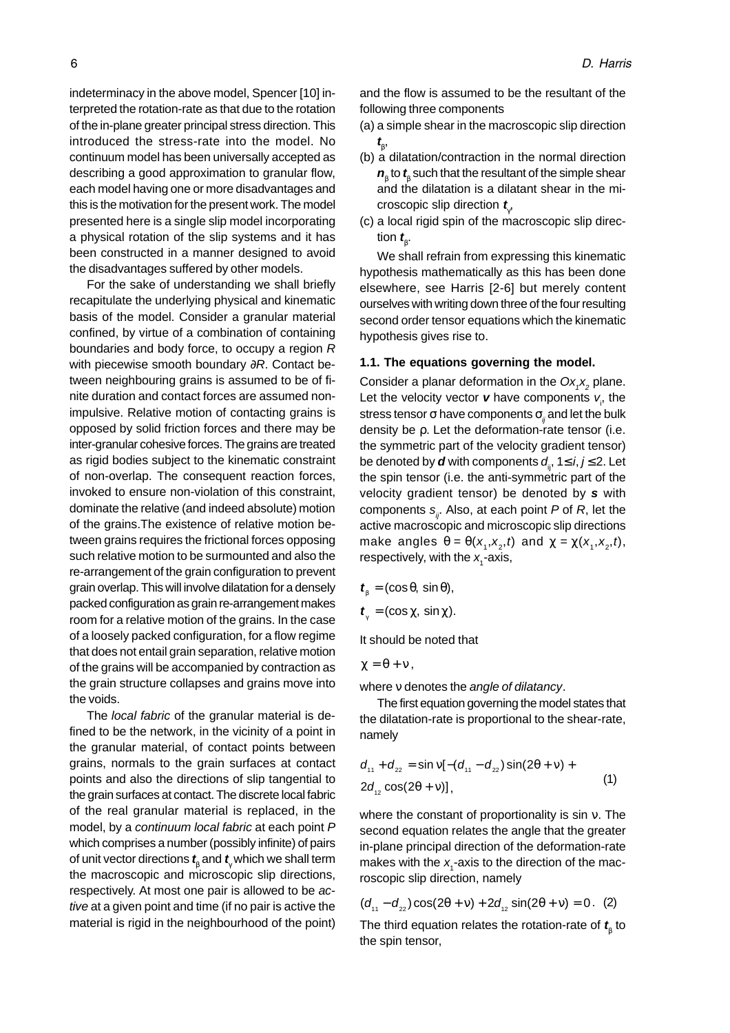indeterminacy in the above model, Spencer [10] interpreted the rotation-rate as that due to the rotation of the in-plane greater principal stress direction. This introduced the stress-rate into the model. No continuum model has been universally accepted as describing a good approximation to granular flow, each model having one or more disadvantages and this is the motivation for the present work. The model presented here is a single slip model incorporating a physical rotation of the slip systems and it has been constructed in a manner designed to avoid the disadvantages suffered by other models.

For the sake of understanding we shall briefly recapitulate the underlying physical and kinematic basis of the model. Consider a granular material confined, by virtue of a combination of containing boundaries and body force, to occupy a region R with piecewise smooth boundary ∂R. Contact between neighbouring grains is assumed to be of finite duration and contact forces are assumed nonimpulsive. Relative motion of contacting grains is opposed by solid friction forces and there may be inter-granular cohesive forces. The grains are treated as rigid bodies subject to the kinematic constraint of non-overlap. The consequent reaction forces, invoked to ensure non-violation of this constraint, dominate the relative (and indeed absolute) motion of the grains.The existence of relative motion between grains requires the frictional forces opposing such relative motion to be surmounted and also the re-arrangement of the grain configuration to prevent grain overlap. This will involve dilatation for a densely packed configuration as grain re-arrangement makes room for a relative motion of the grains. In the case of a loosely packed configuration, for a flow regime that does not entail grain separation, relative motion of the grains will be accompanied by contraction as the grain structure collapses and grains move into the voids.

The local fabric of the granular material is defined to be the network, in the vicinity of a point in the granular material, of contact points between grains, normals to the grain surfaces at contact points and also the directions of slip tangential to the grain surfaces at contact. The discrete local fabric of the real granular material is replaced, in the model, by a continuum local fabric at each point P which comprises a number (possibly infinite) of pairs of unit vector directions **t** β and **t** γ which we shall term the macroscopic and microscopic slip directions, respectively. At most one pair is allowed to be active at a given point and time (if no pair is active the material is rigid in the neighbourhood of the point)

and the flow is assumed to be the resultant of the following three components

(a) a simple shear in the macroscopic slip direction **t** β ,

- (b) a dilatation/contraction in the normal direction  $\boldsymbol{n}_{\!\scriptscriptstyle\beta}$  to  $\boldsymbol{t}_{\!\scriptscriptstyle\beta}$  such that the resultant of the simple shear and the dilatation is a dilatant shear in the microscopic slip direction **t** γ ,
- (c) a local rigid spin of the macroscopic slip direction **t**<sub>β</sub>.

We shall refrain from expressing this kinematic hypothesis mathematically as this has been done elsewhere, see Harris [2-6] but merely content ourselves with writing down three of the four resulting second order tensor equations which the kinematic hypothesis gives rise to.

#### **1.1. The equations governing the model.**

Consider a planar deformation in the  $Ox_{1}x_{2}$  plane. Let the velocity vector **v** have components  $v_{i}$ , the stress tensor  $\sigma$  have components  $\sigma_{ii}$  and let the bulk density be ρ. Let the deformation-rate tensor (i.e. the symmetric part of the velocity gradient tensor) be denoted by **d** with components  $d_{ii}$ ,  $1 \le i, j \le 2$ . Let the spin tensor (i.e. the anti-symmetric part of the velocity gradient tensor) be denoted by **s** with components  $s_{ij}$ . Also, at each point P of R, let the active macroscopic and microscopic slip directions make angles  $\theta = \theta(x_1, x_2, t)$  and  $\chi = \chi(x_1, x_2, t)$ , respectively, with the  $x<sub>i</sub>$ -axis,

$$
\boldsymbol{t}_{\beta}=(\cos\theta,\,\sin\theta),
$$

 $t_{\gamma} = (\cos \chi, \sin \chi).$ 

It should be noted that

$$
\chi=\theta+\nu\,,
$$

where *v* denotes the *angle of dilatancy*.

The first equation governing the model states that the dilatation-rate is proportional to the shear-rate, namely

$$
d_{11} + d_{22} = \sin v[-(d_{11} - d_{22})\sin(2\theta + v) + 2d_{12}\cos(2\theta + v)],
$$
\n(1)

where the constant of proportionality is sin ν. The second equation relates the angle that the greater in-plane principal direction of the deformation-rate makes with the  $x_1$ -axis to the direction of the macroscopic slip direction, namely

$$
(d_{11} - d_{22})\cos(2\theta + v) + 2d_{12}\sin(2\theta + v) = 0. (2)
$$

The third equation relates the rotation-rate of  $\textbf{\textit{t}}_{\scriptscriptstyle\beta}$  to the spin tensor,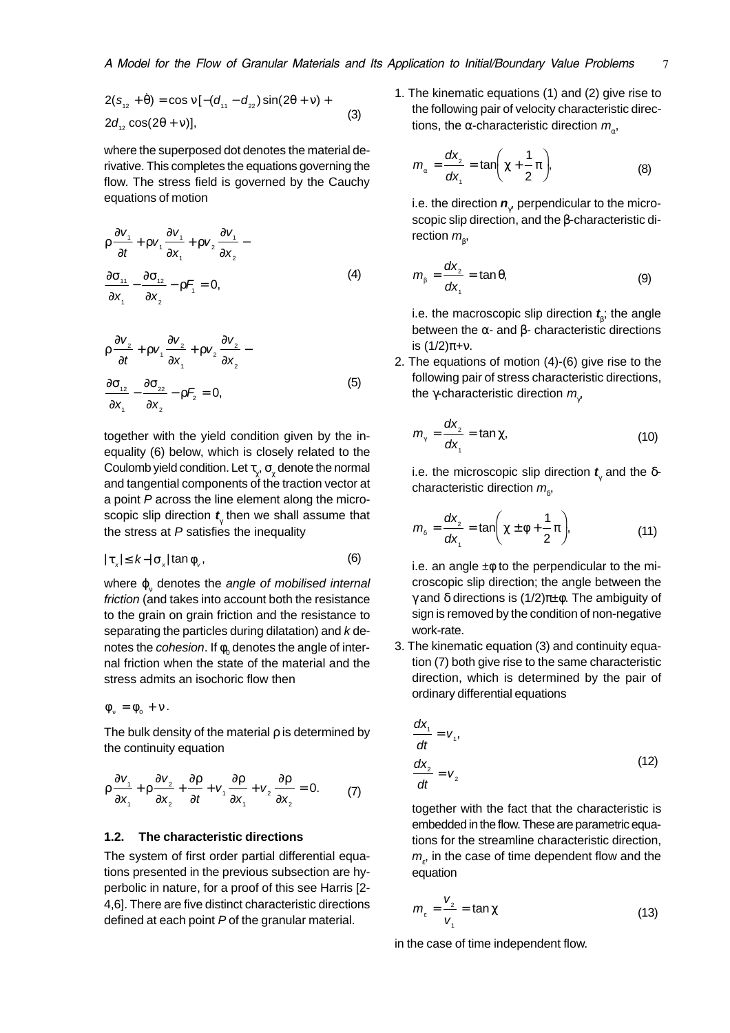$$
2(s_{12} + \dot{\theta}) = \cos v[-(d_{11} - d_{22})\sin(2\theta + v) + 2d_{12}\cos(2\theta + v)],
$$
\n(3)

where the superposed dot denotes the material derivative. This completes the equations governing the flow. The stress field is governed by the Cauchy equations of motion

$$
\rho \frac{\partial v_1}{\partial t} + \rho v_1 \frac{\partial v_1}{\partial x_1} + \rho v_2 \frac{\partial v_1}{\partial x_2} - \frac{\partial \sigma_{11}}{\partial x_1} - \frac{\partial \sigma_{12}}{\partial x_2} - \rho F_1 = 0,
$$
\n(4)

$$
\rho \frac{\partial v_2}{\partial t} + \rho v_1 \frac{\partial v_2}{\partial x_1} + \rho v_2 \frac{\partial v_2}{\partial x_2} - \frac{\partial \sigma_{12}}{\partial x_1} - \frac{\partial \sigma_{22}}{\partial x_2} - \rho F_2 = 0,
$$
\n(5)

together with the yield condition given by the inequality (6) below, which is closely related to the Coulomb yield condition. Let  $\tau_{\chi}, \sigma_{\chi}$  denote the normal and tangential components of the traction vector at a point P across the line element along the microscopic slip direction  $\boldsymbol{t}_{\!\scriptscriptstyle\gamma}$  then we shall assume that the stress at  $P$  satisfies the inequality

$$
|\tau_x| \leq k - |\sigma_x| \tan \phi_v, \tag{6}
$$

where  $\boldsymbol{\mathsf{\phi}}_{\text{v}}$  denotes the *angle of mobilised internal* friction (and takes into account both the resistance to the grain on grain friction and the resistance to separating the particles during dilatation) and  $k$  denotes the *cohesion*. If  $\phi_\text{o}$  denotes the angle of internal friction when the state of the material and the stress admits an isochoric flow then

$$
\varphi_{\nu} = \varphi_0 + \nu.
$$

The bulk density of the material  $\rho$  is determined by the continuity equation

$$
\rho \frac{\partial v_1}{\partial x_1} + \rho \frac{\partial v_2}{\partial x_2} + \frac{\partial \rho}{\partial t} + v_1 \frac{\partial \rho}{\partial x_1} + v_2 \frac{\partial \rho}{\partial x_2} = 0.
$$
 (7)

#### **1.2. The characteristic directions**

The system of first order partial differential equations presented in the previous subsection are hyperbolic in nature, for a proof of this see Harris [2- 4,6]. There are five distinct characteristic directions defined at each point P of the granular material.

1. The kinematic equations (1) and (2) give rise to the following pair of velocity characteristic directions, the α-characteristic direction  $m_a$ ,

$$
m_{\alpha} = \frac{dx_2}{dx_1} = \tan\left(\chi + \frac{1}{2}\pi\right),\tag{8}
$$

i.e. the direction  $\boldsymbol{n}_{\!\scriptscriptstyle(\!\gamma\!)}$  perpendicular to the microscopic slip direction, and the β-characteristic direction  $m_{\beta}^{\phantom{\dag}},$ 

$$
m_{\beta} = \frac{dx_2}{dx_1} = \tan \theta, \tag{9}
$$

i.e. the macroscopic slip direction  $\boldsymbol{t}_{\!\scriptscriptstyle\beta}$ ; the angle between the α- and β- characteristic directions is (1/2)π+ν.

2. The equations of motion (4)-(6) give rise to the following pair of stress characteristic directions, the  $\gamma$ -characteristic direction  $m_{\gamma^{\prime}}$ 

$$
m_{\gamma} = \frac{dx_{2}}{dx_{1}} = \tan \chi, \qquad (10)
$$

i.e. the microscopic slip direction **t** γ and the δcharacteristic direction  $m_{\delta}$ ,

$$
m_s = \frac{dx_2}{dx_1} = \tan\left(\chi \pm \phi + \frac{1}{2}\pi\right),\tag{11}
$$

i.e. an angle  $\pm\phi$  to the perpendicular to the microscopic slip direction; the angle between the γ and δ directions is (1/2)π±φ. The ambiguity of sign is removed by the condition of non-negative work-rate.

3. The kinematic equation (3) and continuity equation (7) both give rise to the same characteristic direction, which is determined by the pair of ordinary differential equations

$$
\frac{dx_1}{dt} = V_1,
$$
\n
$$
\frac{dx_2}{dt} = V_2
$$
\n(12)

together with the fact that the characteristic is embedded in the flow. These are parametric equations for the streamline characteristic direction,  $m_{\varepsilon}$ , in the case of time dependent flow and the equation

$$
m_{\varepsilon} = \frac{V_2}{V_1} = \tan \chi \tag{13}
$$

in the case of time independent flow.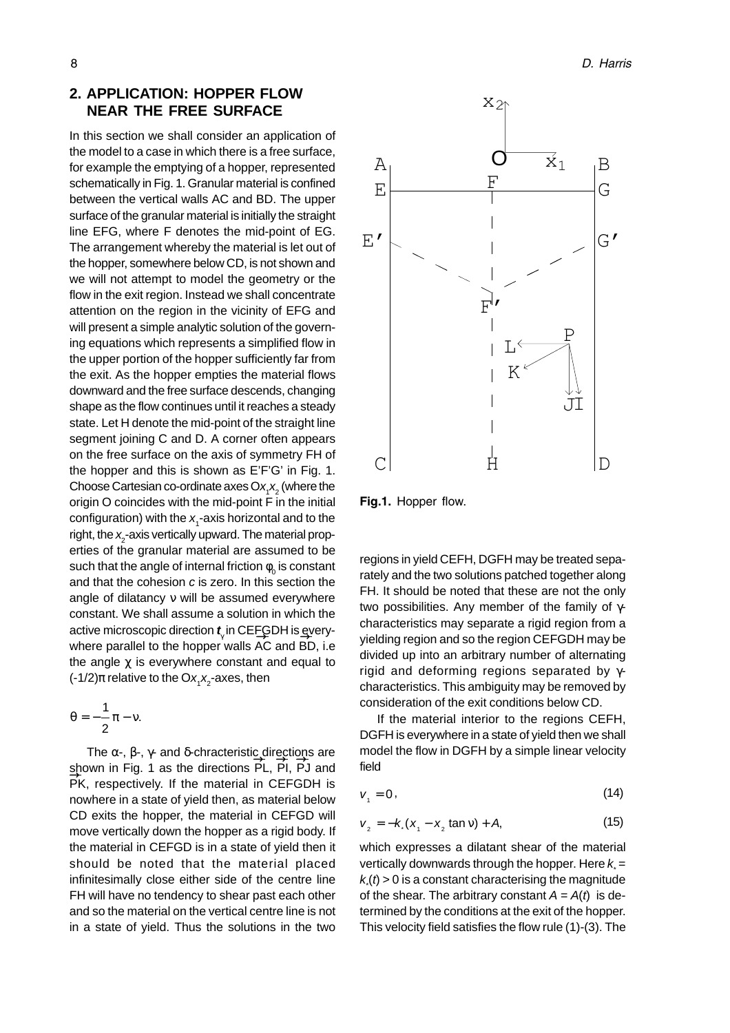# **2. APPLICATION: HOPPER FLOW NEAR THE FREE SURFACE**

In this section we shall consider an application of the model to a case in which there is a free surface, for example the emptying of a hopper, represented schematically in Fig. 1. Granular material is confined between the vertical walls AC and BD. The upper surface of the granular material is initially the straight line EFG, where F denotes the mid-point of EG. The arrangement whereby the material is let out of the hopper, somewhere below CD, is not shown and we will not attempt to model the geometry or the flow in the exit region. Instead we shall concentrate attention on the region in the vicinity of EFG and will present a simple analytic solution of the governing equations which represents a simplified flow in the upper portion of the hopper sufficiently far from the exit. As the hopper empties the material flows downward and the free surface descends, changing shape as the flow continues until it reaches a steady state. Let H denote the mid-point of the straight line segment joining C and D. A corner often appears on the free surface on the axis of symmetry FH of the hopper and this is shown as E'F'G' in Fig. 1. Choose Cartesian co-ordinate axes O $x_1x_2$  (where the origin O coincides with the mid-point F in the initial configuration) with the  $x_1$ -axis horizontal and to the right, the  $x$ <sub>2</sub>-axis vertically upward. The material properties of the granular material are assumed to be such that the angle of internal friction  $\phi_{_0}$  is constant and that the cohesion c is zero. In this section the angle of dilatancy ν will be assumed everywhere constant. We shall assume a solution in which the active microscopic direction *t*<sub>γ</sub> in CEFGDH is everywhere parallel to the hopper walls AC and BD, i.e the angle  $\chi$  is everywhere constant and equal to (-1/2)π relative to the Ox<sub>1</sub>x<sub>2</sub>-axes, then

$$
\theta=-\frac{1}{2}\pi-\nu.
$$

The  $\alpha$ -,  $\beta$ -,  $\gamma$ - and δ-chracteristic directions are shown in Fig. 1 as the directions  $\overrightarrow{PL}$ ,  $\overrightarrow{PI}$ ,  $\overrightarrow{PI}$  and PK, respectively. If the material in CEFGDH is nowhere in a state of yield then, as material below CD exits the hopper, the material in CEFGD will move vertically down the hopper as a rigid body. If the material in CEFGD is in a state of yield then it should be noted that the material placed infinitesimally close either side of the centre line FH will have no tendency to shear past each other and so the material on the vertical centre line is not in a state of yield. Thus the solutions in the two  $\Rightarrow$ 



Fig.1. Hopper flow.

regions in yield CEFH, DGFH may be treated separately and the two solutions patched together along FH. It should be noted that these are not the only two possibilities. Any member of the family of  $\gamma$ characteristics may separate a rigid region from a yielding region and so the region CEFGDH may be divided up into an arbitrary number of alternating rigid and deforming regions separated by  $\gamma$ characteristics. This ambiguity may be removed by consideration of the exit conditions below CD.

If the material interior to the regions CEFH, DGFH is everywhere in a state of yield then we shall model the flow in DGFH by a simple linear velocity field

$$
v_{1} = 0, \tag{14}
$$

$$
v_2 = -k(x_1 - x_2 \tan v) + A,\tag{15}
$$

which expresses a dilatant shear of the material vertically downwards through the hopper. Here  $k =$  $k(t)$  > 0 is a constant characterising the magnitude of the shear. The arbitrary constant  $A = A(t)$  is determined by the conditions at the exit of the hopper. This velocity field satisfies the flow rule (1)-(3). The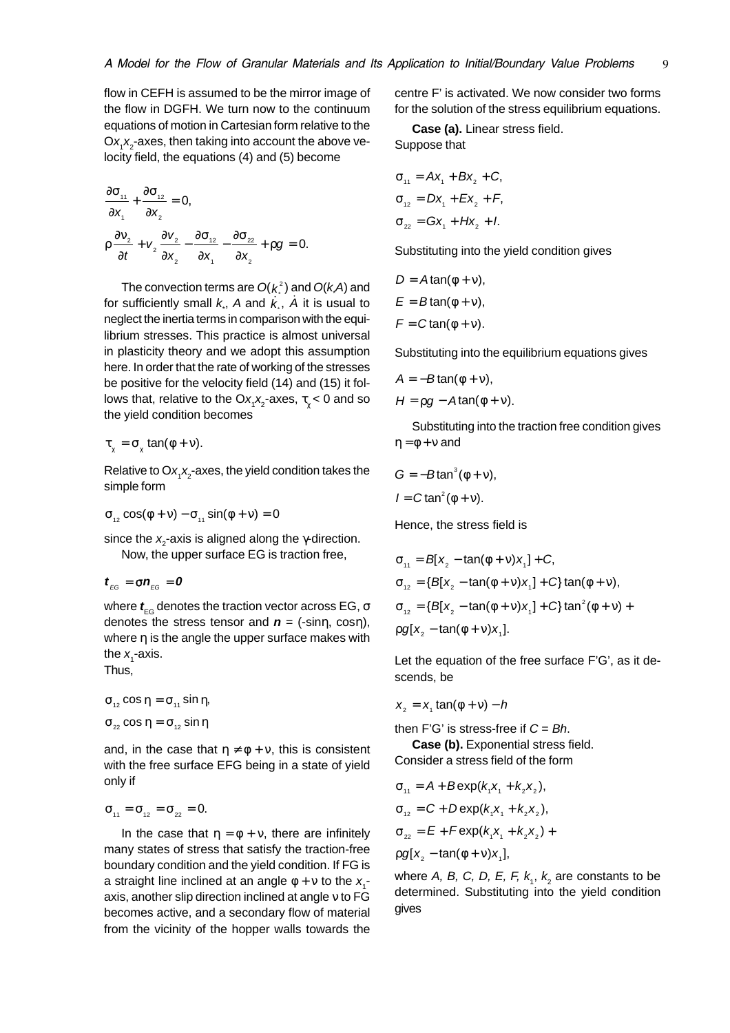flow in CEFH is assumed to be the mirror image of the flow in DGFH. We turn now to the continuum equations of motion in Cartesian form relative to the  $Ox_1x_2$ -axes, then taking into account the above velocity field, the equations (4) and (5) become

$$
\frac{\partial \sigma_{11}}{\partial x_1} + \frac{\partial \sigma_{12}}{\partial x_2} = 0,
$$
\n
$$
\rho \frac{\partial v_2}{\partial t} + v_2 \frac{\partial v_2}{\partial x_2} - \frac{\partial \sigma_{12}}{\partial x_1} - \frac{\partial \sigma_{22}}{\partial x_2} + \rho g = 0.
$$

The convection terms are  $O(k<sup>2</sup>)$  and  $O(kA)$  and for sufficiently small  $k$ ,  $A$  and  $k$ ,  $\overline{A}$  it is usual to neglect the inertia terms in comparison with the equilibrium stresses. This practice is almost universal in plasticity theory and we adopt this assumption here. In order that the rate of working of the stresses be positive for the velocity field (14) and (15) it follows that, relative to the Ox<sub>1</sub>x<sub>2</sub>-axes,  $\tau_{\chi}$ < 0 and so the yield condition becomes

$$
\tau_{\gamma} = \sigma_{\gamma} \tan(\phi + \nu).
$$

Relative to O $\mathsf{x}_{\mathsf{I}}\mathsf{x}_{\mathsf{2}}$ -axes, the yield condition takes the simple form

$$
\sigma_{12} \cos(\phi + v) - \sigma_{11} \sin(\phi + v) = 0
$$

since the  $x_{\scriptscriptstyle \sf 2}$ -axis is aligned along the  $\gamma$ -direction. Now, the upper surface EG is traction free,

$$
t_{_{EG}} = \sigma n_{_{EG}} = 0
$$

where  $\textbf{\textit{t}}_{\text{\tiny{EG}}}$  denotes the traction vector across EG, σ denotes the stress tensor and  $\boldsymbol{n}$  = (-sinn, cosn), where η is the angle the upper surface makes with the  $x_1^{\prime}$ -axis.

Thus,

$$
\sigma_{12} \cos \eta = \sigma_{11} \sin \eta,
$$
  

$$
\sigma_{22} \cos \eta = \sigma_{12} \sin \eta
$$

and, in the case that  $\eta \neq \phi + v$ , this is consistent with the free surface EFG being in a state of yield only if

$$
\sigma_{_{11}}=\sigma_{_{12}}=\sigma_{_{22}}=0.
$$

In the case that  $\eta = \phi + v$ , there are infinitely many states of stress that satisfy the traction-free boundary condition and the yield condition. If FG is a straight line inclined at an angle  $\phi$  +  $\rm v$  to the  $\rm x$ <sub>1</sub>axis, another slip direction inclined at angle ν to FG becomes active, and a secondary flow of material from the vicinity of the hopper walls towards the

centre F' is activated. We now consider two forms for the solution of the stress equilibrium equations.

**Case (a).** Linear stress field. Suppose that

$$
\sigma_{11} = Ax_1 + Bx_2 + C,
$$
  
\n
$$
\sigma_{12} = Dx_1 + Ex_2 + F,
$$
  
\n
$$
\sigma_{22} = Gx_1 + Hx_2 + I.
$$

Substituting into the yield condition gives

$$
D = A \tan(\phi + v),
$$
  
\n
$$
E = B \tan(\phi + v),
$$
  
\n
$$
F = C \tan(\phi + v).
$$

Substituting into the equilibrium equations gives

$$
A = -B \tan(\phi + \nu),
$$
  

$$
H = \rho g - A \tan(\phi + \nu).
$$

Substituting into the traction free condition gives  $\eta = \phi + v$  and

$$
G = -B \tan^3(\phi + v),
$$
  

$$
I = C \tan^2(\phi + v).
$$

Hence, the stress field is

$$
\sigma_{11} = B[x_2 - \tan(\phi + v)x_1] + C,
$$
  
\n
$$
\sigma_{12} = \{B[x_2 - \tan(\phi + v)x_1] + C\} \tan(\phi + v),
$$
  
\n
$$
\sigma_{12} = \{B[x_2 - \tan(\phi + v)x_1] + C\} \tan^2(\phi + v) +
$$
  
\n
$$
\rho g[x_2 - \tan(\phi + v)x_1].
$$

Let the equation of the free surface F'G', as it descends, be

$$
x_{2} = x_{1} \tan(\phi + \nu) - h
$$

then F'G' is stress-free if  $C = Bh$ .

**Case (b).** Exponential stress field. Consider a stress field of the form

$$
\sigma_{11} = A + B \exp(k_1 x_1 + k_2 x_2),
$$
  
\n
$$
\sigma_{12} = C + D \exp(k_1 x_1 + k_2 x_2),
$$
  
\n
$$
\sigma_{22} = E + F \exp(k_1 x_1 + k_2 x_2) +
$$
  
\n
$$
\rho g[x_2 - \tan(\phi + v)x_1],
$$

where A, B, C, D, E, F,  $k_{1}$ ,  $k_{2}$  are constants to be determined. Substituting into the yield condition gives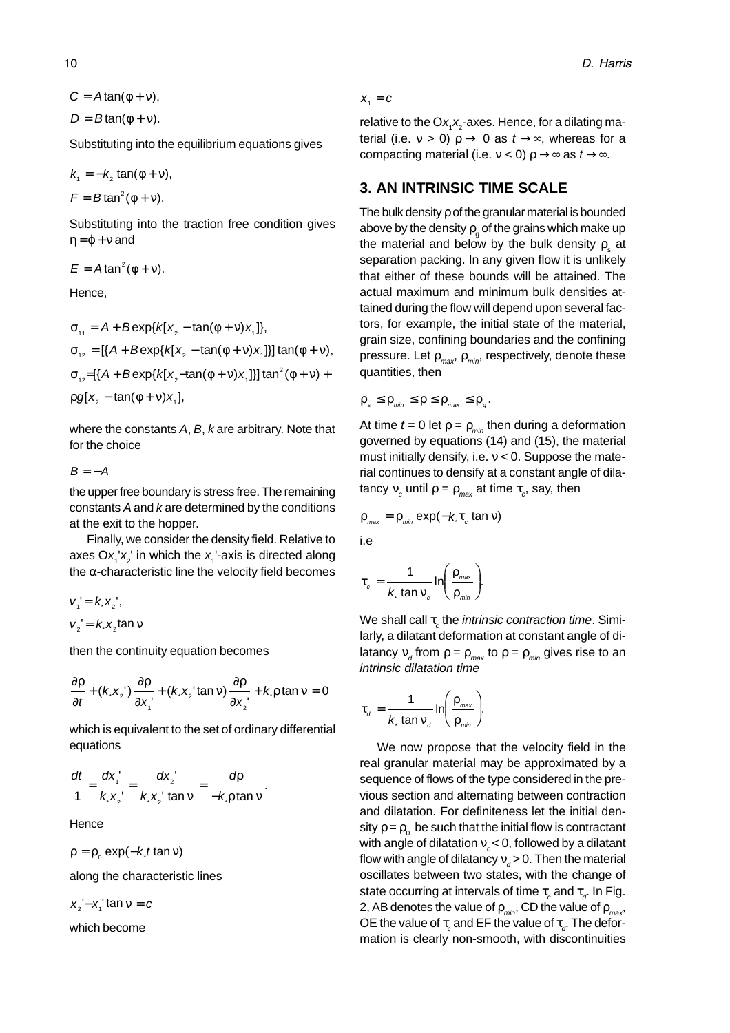$C = Atan(\phi + v),$ 

 $D = B \tan(\phi + \nu)$ .

Substituting into the equilibrium equations gives

$$
k_1 = -k_2 \tan(\phi + \nu),
$$
  

$$
F = B \tan^2(\phi + \nu).
$$

Substituting into the traction free condition gives  $\eta = \varphi + \nu$  and

 $E = A \tan^2(\phi + v)$ .

Hence,

$$
\sigma_{11} = A + B \exp\{k[x_2 - \tan(\phi + v)x_1]\},
$$
\n
$$
\sigma_{12} = [\{A + B \exp\{k[x_2 - \tan(\phi + v)x_1]\}] \tan(\phi + v),
$$
\n
$$
\sigma_{12} = [\{A + B \exp\{k[x_2 - \tan(\phi + v)x_1]\}] \tan^2(\phi + v) +
$$
\n
$$
\rho g[x_2 - \tan(\phi + v)x_1],
$$

where the constants A, B, k are arbitrary. Note that for the choice

### $B = -A$

the upper free boundary is stress free. The remaining constants A and k are determined by the conditions at the exit to the hopper.

Finally, we consider the density field. Relative to axes O $x_1^\top x_2^\top$  in which the  $x_1^\top$ -axis is directed along the  $α$ -characteristic line the velocity field becomes

 $v_1' = k x_2'$ ,  $v_2' = k x_2 \tan v$ 

then the continuity equation becomes

$$
\frac{\partial \rho}{\partial t} + (kx_2') \frac{\partial \rho}{\partial x_1'} + (kx_2' \tan v) \frac{\partial \rho}{\partial x_2'} + k \rho \tan v = 0
$$

which is equivalent to the set of ordinary differential equations

$$
\frac{dt}{1} = \frac{dx_1'}{k \cdot x_2'} = \frac{dx_2'}{k \cdot x_2' \tan v} = \frac{dp}{-k \cdot p \tan v}.
$$

**Hence** 

 $p = p_0 \exp(-k_0 t \tan v)$ 

along the characteristic lines

 $x_2' - x_1'$  tan  $v = c$ 

which become

$$
X_1 = C
$$

relative to the O $\mathsf{x}_{\mathsf{I}}\mathsf{x}_{\mathsf{2}}$ -axes. Hence, for a dilating material (i.e.  $v > 0$ )  $\rho \rightarrow 0$  as  $t \rightarrow \infty$ , whereas for a compacting material (i.e.  $v < 0$ )  $\rho \rightarrow \infty$  as  $t \rightarrow \infty$ .

# **3. AN INTRINSIC TIME SCALE**

The bulk density ρ of the granular material is bounded above by the density  $\rho_{_{\mathrm{g}}}$  of the grains which make up the material and below by the bulk density  $\rho_{\text{\tiny s}}$  at separation packing. In any given flow it is unlikely that either of these bounds will be attained. The actual maximum and minimum bulk densities attained during the flow will depend upon several factors, for example, the initial state of the material, grain size, confining boundaries and the confining pressure. Let  $\rho_{max}$ ,  $\rho_{min}$ , respectively, denote these quantities, then

 $\rho_s \leq \rho_{\text{min}} \leq \rho \leq \rho_{\text{max}} \leq \rho_{\text{g}}$ .

At time  $t = 0$  let  $p = p_{min}$  then during a deformation governed by equations (14) and (15), the material must initially densify, i.e.  $v < 0$ . Suppose the material continues to densify at a constant angle of dilatancy  $v_c$  until  $ρ = ρ_{max}$  at time  $τ_c$ , say, then

$$
\rho_{\text{max}} = \rho_{\text{min}} \exp(-k \tau_c \tan \nu)
$$

i.e

$$
\tau_c = \frac{1}{k \tan v_c} \ln \left( \frac{\rho_{\text{max}}}{\rho_{\text{min}}} \right).
$$

We shall call  $\tau_{_{\mathcal{C}}}$ the *intrinsic contraction time*. Similarly, a dilatant deformation at constant angle of dilatancy  ${\rm v}_d^{}$  from  ${\rm \rho}={\rm \rho}_{\rm max}^{}$  to  ${\rm \rho}={\rm \rho}_{\rm min}^{}$  gives rise to an intrinsic dilatation time

$$
\tau_{d} = \frac{1}{k \tan v_{d}} \ln \left( \frac{\rho_{\text{max}}}{\rho_{\text{min}}} \right).
$$

We now propose that the velocity field in the real granular material may be approximated by a sequence of flows of the type considered in the previous section and alternating between contraction and dilatation. For definiteness let the initial density  $\rho$  =  $\rho_{_0}$  be such that the initial flow is contractant with angle of dilatation  $v_c < 0$ , followed by a dilatant flow with angle of dilatancy  $\mathsf{v}_{\scriptscriptstyle d}$ > 0. Then the material oscillates between two states, with the change of state occurring at intervals of time  $\tau_{_{\scriptscriptstyle \mathcal{C}}}$  and  $\tau_{_{\mathcal{J}}}$  In Fig. 2, AB denotes the value of  $\rho_{min}$ , CD the value of  $\rho_{max}$ OE the value of  $\tau_{_{\scriptscriptstyle C}}$  and EF the value of  $\tau_{_{\scriptscriptstyle G}}$  The deformation is clearly non-smooth, with discontinuities